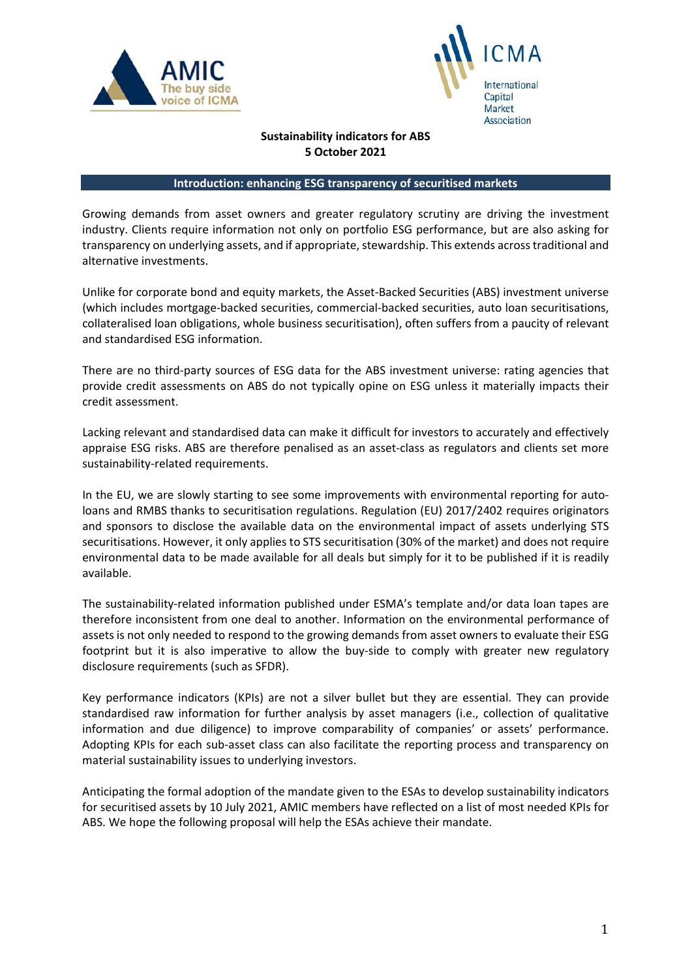



## **Sustainability indicators for ABS 5 October 2021**

#### **Introduction: enhancing ESG transparency of securitised markets**

Growing demands from asset owners and greater regulatory scrutiny are driving the investment industry. Clients require information not only on portfolio ESG performance, but are also asking for transparency on underlying assets, and if appropriate, stewardship. This extends across traditional and alternative investments.

Unlike for corporate bond and equity markets, the Asset-Backed Securities (ABS) investment universe (which includes mortgage-backed securities, commercial-backed securities, auto loan securitisations, collateralised loan obligations, whole business securitisation), often suffers from a paucity of relevant and standardised ESG information.

There are no third-party sources of ESG data for the ABS investment universe: rating agencies that provide credit assessments on ABS do not typically opine on ESG unless it materially impacts their credit assessment.

Lacking relevant and standardised data can make it difficult for investors to accurately and effectively appraise ESG risks. ABS are therefore penalised as an asset-class as regulators and clients set more sustainability-related requirements.

In the EU, we are slowly starting to see some improvements with environmental reporting for autoloans and RMBS thanks to securitisation regulations. Regulation (EU) 2017/2402 requires originators and sponsors to disclose the available data on the environmental impact of assets underlying STS securitisations. However, it only applies to STS securitisation (30% of the market) and does not require environmental data to be made available for all deals but simply for it to be published if it is readily available.

The sustainability-related information published under ESMA's template and/or data loan tapes are therefore inconsistent from one deal to another. Information on the environmental performance of assets is not only needed to respond to the growing demands from asset owners to evaluate their ESG footprint but it is also imperative to allow the buy-side to comply with greater new regulatory disclosure requirements (such as SFDR).

Key performance indicators (KPIs) are not a silver bullet but they are essential. They can provide standardised raw information for further analysis by asset managers (i.e., collection of qualitative information and due diligence) to improve comparability of companies' or assets' performance. Adopting KPIs for each sub-asset class can also facilitate the reporting process and transparency on material sustainability issues to underlying investors.

Anticipating the formal adoption of the mandate given to the ESAs to develop sustainability indicators for securitised assets by 10 July 2021, AMIC members have reflected on a list of most needed KPIs for ABS. We hope the following proposal will help the ESAs achieve their mandate.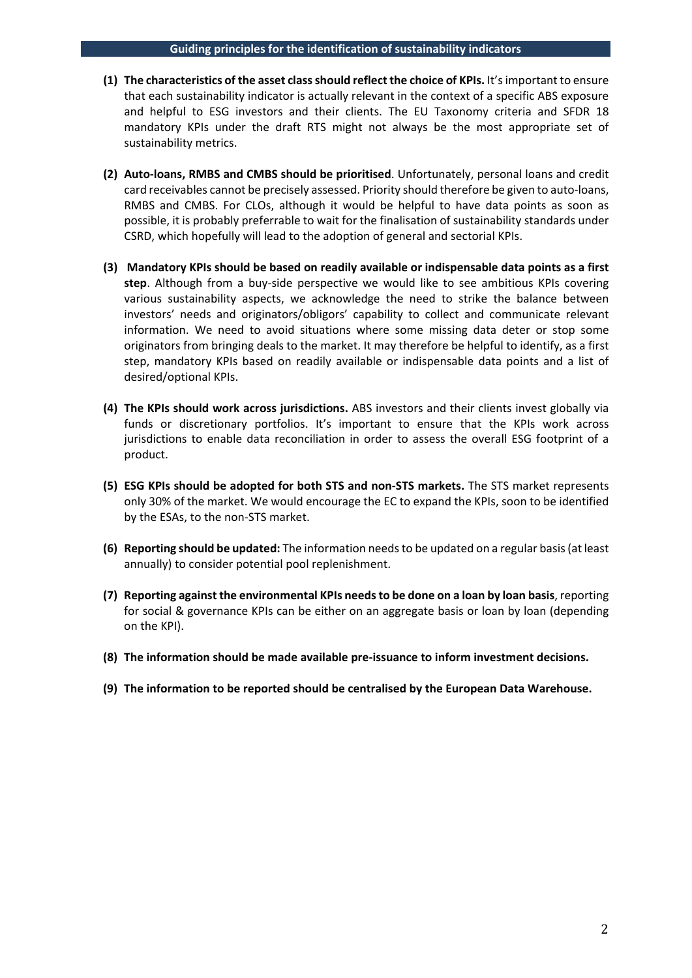- **(1) The characteristics of the asset class should reflect the choice of KPIs.** It's important to ensure that each sustainability indicator is actually relevant in the context of a specific ABS exposure and helpful to ESG investors and their clients. The EU Taxonomy criteria and SFDR 18 mandatory KPIs under the draft RTS might not always be the most appropriate set of sustainability metrics.
- **(2) Auto-loans, RMBS and CMBS should be prioritised**. Unfortunately, personal loans and credit card receivables cannot be precisely assessed. Priority should therefore be given to auto-loans, RMBS and CMBS. For CLOs, although it would be helpful to have data points as soon as possible, it is probably preferrable to wait for the finalisation of sustainability standards under CSRD, which hopefully will lead to the adoption of general and sectorial KPIs.
- **(3) Mandatory KPIs should be based on readily available or indispensable data points as a first step**. Although from a buy-side perspective we would like to see ambitious KPIs covering various sustainability aspects, we acknowledge the need to strike the balance between investors' needs and originators/obligors' capability to collect and communicate relevant information. We need to avoid situations where some missing data deter or stop some originators from bringing deals to the market. It may therefore be helpful to identify, as a first step, mandatory KPIs based on readily available or indispensable data points and a list of desired/optional KPIs.
- **(4) The KPIs should work across jurisdictions.** ABS investors and their clients invest globally via funds or discretionary portfolios. It's important to ensure that the KPIs work across jurisdictions to enable data reconciliation in order to assess the overall ESG footprint of a product.
- **(5) ESG KPIs should be adopted for both STS and non-STS markets.** The STS market represents only 30% of the market. We would encourage the EC to expand the KPIs, soon to be identified by the ESAs, to the non-STS market.
- **(6) Reporting should be updated:** The information needs to be updated on a regular basis (at least annually) to consider potential pool replenishment.
- **(7) Reporting against the environmental KPIs needs to be done on a loan by loan basis**, reporting for social & governance KPIs can be either on an aggregate basis or loan by loan (depending on the KPI).
- **(8) The information should be made available pre-issuance to inform investment decisions.**
- **(9) The information to be reported should be centralised by the European Data Warehouse.**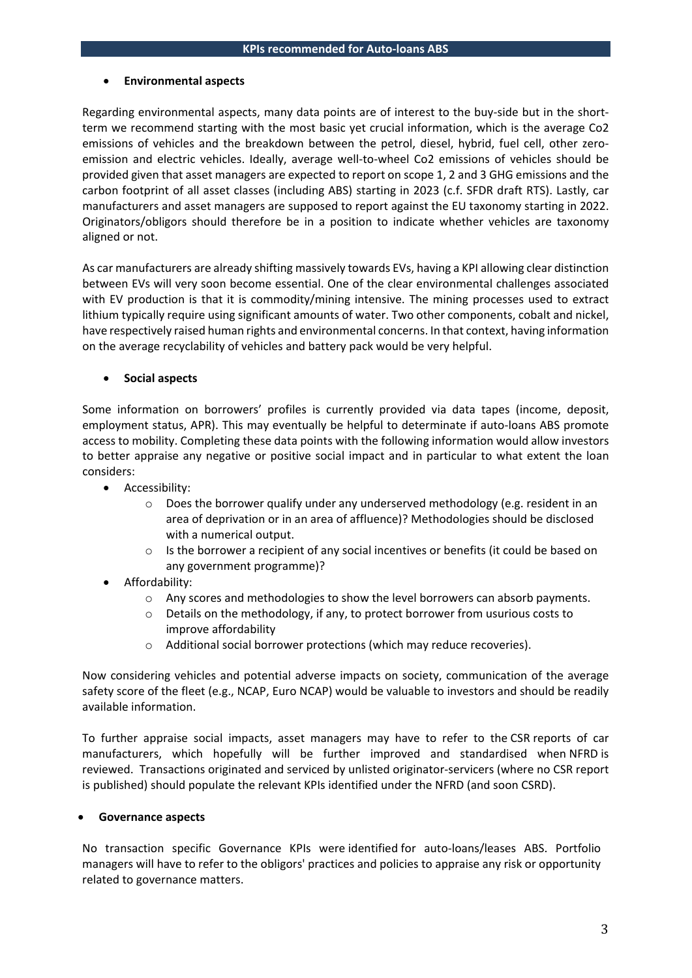### • **Environmental aspects**

Regarding environmental aspects, many data points are of interest to the buy-side but in the shortterm we recommend starting with the most basic yet crucial information, which is the average Co2 emissions of vehicles and the breakdown between the petrol, diesel, hybrid, fuel cell, other zeroemission and electric vehicles. Ideally, average well-to-wheel Co2 emissions of vehicles should be provided given that asset managers are expected to report on scope 1, 2 and 3 GHG emissions and the carbon footprint of all asset classes (including ABS) starting in 2023 (c.f. SFDR draft RTS). Lastly, car manufacturers and asset managers are supposed to report against the EU taxonomy starting in 2022. Originators/obligors should therefore be in a position to indicate whether vehicles are taxonomy aligned or not.

As car manufacturers are already shifting massively towards EVs, having a KPI allowing clear distinction between EVs will very soon become essential. One of the clear environmental challenges associated with EV production is that it is commodity/mining intensive. The mining processes used to extract lithium typically require using significant amounts of water. Two other components, cobalt and nickel, have respectively raised human rights and environmental concerns. In that context, having information on the average recyclability of vehicles and battery pack would be very helpful.

### • **Social aspects**

Some information on borrowers' profiles is currently provided via data tapes (income, deposit, employment status, APR). This may eventually be helpful to determinate if auto-loans ABS promote access to mobility. Completing these data points with the following information would allow investors to better appraise any negative or positive social impact and in particular to what extent the loan considers:

- Accessibility:
	- $\circ$  Does the borrower qualify under any underserved methodology (e.g. resident in an area of deprivation or in an area of affluence)? Methodologies should be disclosed with a numerical output.
	- $\circ$  Is the borrower a recipient of any social incentives or benefits (it could be based on any government programme)?
- Affordability:
	- $\circ$  Any scores and methodologies to show the level borrowers can absorb payments.
	- o Details on the methodology, if any, to protect borrower from usurious costs to improve affordability
	- o Additional social borrower protections (which may reduce recoveries).

Now considering vehicles and potential adverse impacts on society, communication of the average safety score of the fleet (e.g., NCAP, Euro NCAP) would be valuable to investors and should be readily available information.

To further appraise social impacts, asset managers may have to refer to the CSR reports of car manufacturers, which hopefully will be further improved and standardised when NFRD is reviewed. Transactions originated and serviced by unlisted originator-servicers (where no CSR report is published) should populate the relevant KPIs identified under the NFRD (and soon CSRD).

### • **Governance aspects**

No transaction specific Governance KPIs were identified for auto-loans/leases ABS. Portfolio managers will have to refer to the obligors' practices and policies to appraise any risk or opportunity related to governance matters.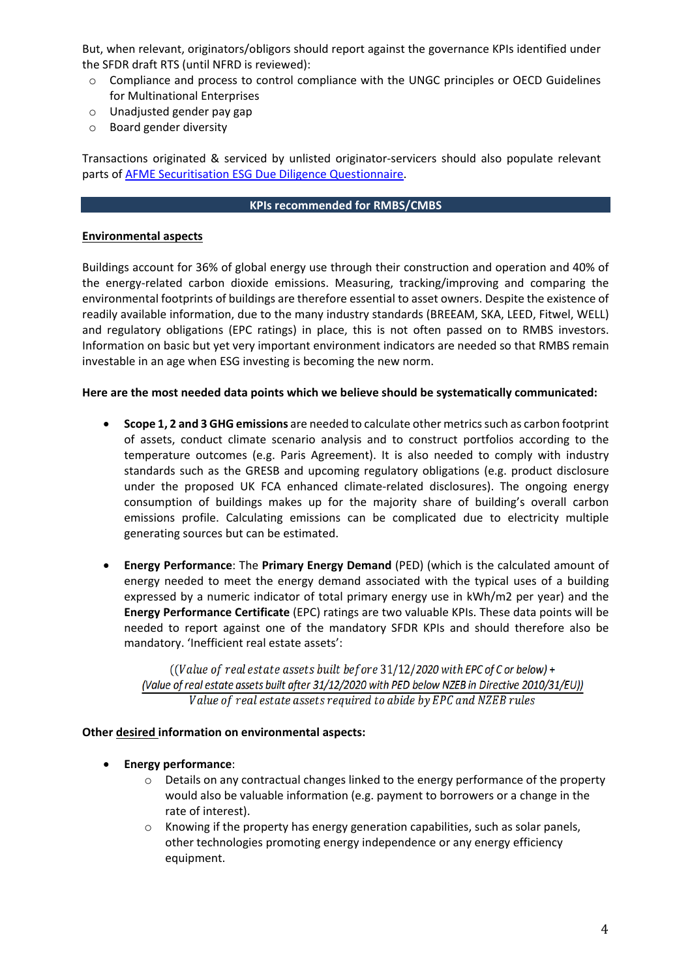But, when relevant, originators/obligors should report against the governance KPIs identified under the SFDR draft RTS (until NFRD is reviewed):

- o Compliance and process to control compliance with the UNGC principles or OECD Guidelines for Multinational Enterprises
- o Unadjusted gender pay gap
- o Board gender diversity

Transactions originated & serviced by unlisted originator-servicers should also populate relevant parts of [AFME Securitisation ESG Due Diligence Questionnaire.](https://www.afme.eu/Portals/0/DispatchFeaturedImages/ESG%20Disclosure%20and%20Diligence%20Practices%20for%20the%20European%20Securitisation%20Market%20FINAL-2.pdf)

#### **KPIs recommended for RMBS/CMBS**

### **Environmental aspects**

Buildings account for 36% of global energy use through their construction and operation and 40% of the energy-related carbon dioxide emissions. Measuring, tracking/improving and comparing the environmental footprints of buildings are therefore essential to asset owners. Despite the existence of readily available information, due to the many industry standards (BREEAM, SKA, LEED, Fitwel, WELL) and regulatory obligations (EPC ratings) in place, this is not often passed on to RMBS investors. Information on basic but yet very important environment indicators are needed so that RMBS remain investable in an age when ESG investing is becoming the new norm.

### **Here are the most needed data points which we believe should be systematically communicated:**

- **Scope 1, 2 and 3 GHG emissions** are needed to calculate other metrics such as carbon footprint of assets, conduct climate scenario analysis and to construct portfolios according to the temperature outcomes (e.g. Paris Agreement). It is also needed to comply with industry standards such as the GRESB and upcoming regulatory obligations (e.g. product disclosure under the proposed UK FCA enhanced climate-related disclosures). The ongoing energy consumption of buildings makes up for the majority share of building's overall carbon emissions profile. Calculating emissions can be complicated due to electricity multiple generating sources but can be estimated.
- **Energy Performance**: The **Primary Energy Demand** (PED) (which is the calculated amount of energy needed to meet the energy demand associated with the typical uses of a building expressed by a numeric indicator of total primary energy use in kWh/m2 per year) and the **Energy Performance Certificate** (EPC) ratings are two valuable KPIs. These data points will be needed to report against one of the mandatory SFDR KPIs and should therefore also be mandatory. 'Inefficient real estate assets':

((Value of real estate assets built before 31/12/2020 with EPC of C or below) + (Value of real estate assets built after 31/12/2020 with PED below NZEB in Directive 2010/31/EU)) Value of real estate assets required to abide by EPC and NZEB rules

### **Other desired information on environmental aspects:**

- **Energy performance**:
	- o Details on any contractual changes linked to the energy performance of the property would also be valuable information (e.g. payment to borrowers or a change in the rate of interest).
	- $\circ$  Knowing if the property has energy generation capabilities, such as solar panels, other technologies promoting energy independence or any energy efficiency equipment.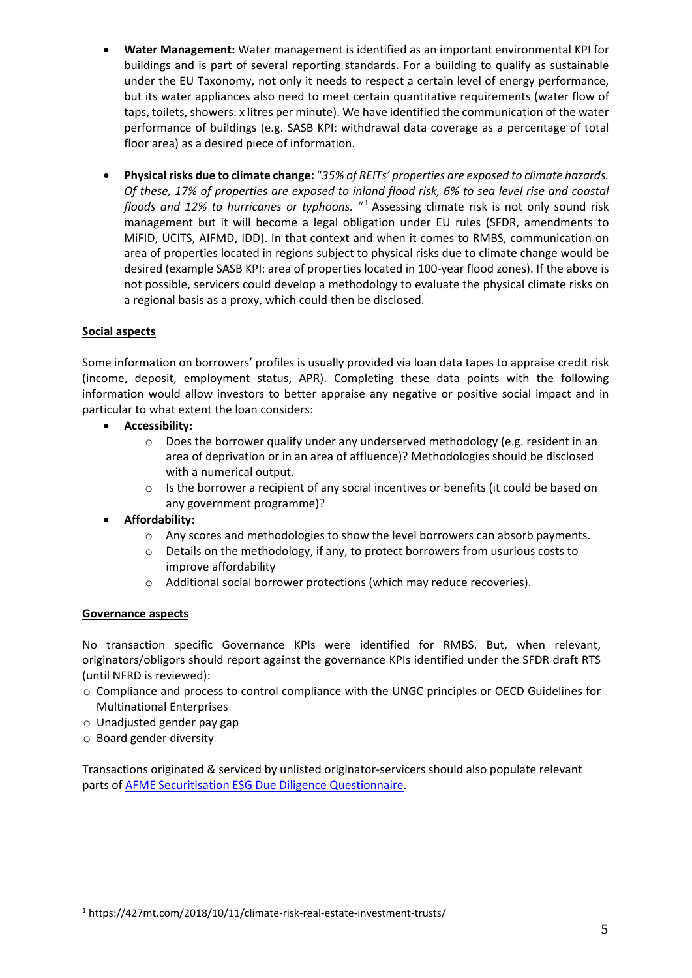- **Water Management:** Water management is identified as an important environmental KPI for buildings and is part of several reporting standards. For a building to qualify as sustainable under the EU Taxonomy, not only it needs to respect a certain level of energy performance, but its water appliances also need to meet certain quantitative requirements (water flow of taps, toilets, showers: x litres per minute). We have identified the communication of the water performance of buildings (e.g. SASB KPI: withdrawal data coverage as a percentage of total floor area) as a desired piece of information.
- **Physical risks due to climate change:** "*35% of REITs' properties are exposed to climate hazards. Of these, 17% of properties are exposed to inland flood risk, 6% to sea level rise and coastal floods and 12% to hurricanes or typhoons.* " [1](#page-4-0) Assessing climate risk is not only sound risk management but it will become a legal obligation under EU rules (SFDR, amendments to MiFID, UCITS, AIFMD, IDD). In that context and when it comes to RMBS, communication on area of properties located in regions subject to physical risks due to climate change would be desired (example SASB KPI: area of properties located in 100-year flood zones). If the above is not possible, servicers could develop a methodology to evaluate the physical climate risks on a regional basis as a proxy, which could then be disclosed.

# **Social aspects**

Some information on borrowers' profiles is usually provided via loan data tapes to appraise credit risk (income, deposit, employment status, APR). Completing these data points with the following information would allow investors to better appraise any negative or positive social impact and in particular to what extent the loan considers:

- **Accessibility:**
	- $\circ$  Does the borrower qualify under any underserved methodology (e.g. resident in an area of deprivation or in an area of affluence)? Methodologies should be disclosed with a numerical output.
	- $\circ$  Is the borrower a recipient of any social incentives or benefits (it could be based on any government programme)?
- **Affordability**:
	- o Any scores and methodologies to show the level borrowers can absorb payments.
	- o Details on the methodology, if any, to protect borrowers from usurious costs to improve affordability
	- o Additional social borrower protections (which may reduce recoveries).

## **Governance aspects**

No transaction specific Governance KPIs were identified for RMBS. But, when relevant, originators/obligors should report against the governance KPIs identified under the SFDR draft RTS (until NFRD is reviewed):

- o Compliance and process to control compliance with the UNGC principles or OECD Guidelines for Multinational Enterprises
- o Unadjusted gender pay gap
- o Board gender diversity

Transactions originated & serviced by unlisted originator-servicers should also populate relevant parts of [AFME Securitisation ESG Due Diligence Questionnaire.](https://www.afme.eu/Portals/0/DispatchFeaturedImages/ESG%20Disclosure%20and%20Diligence%20Practices%20for%20the%20European%20Securitisation%20Market%20FINAL-2.pdf)

<span id="page-4-0"></span><sup>1</sup> https://427mt.com/2018/10/11/climate-risk-real-estate-investment-trusts/